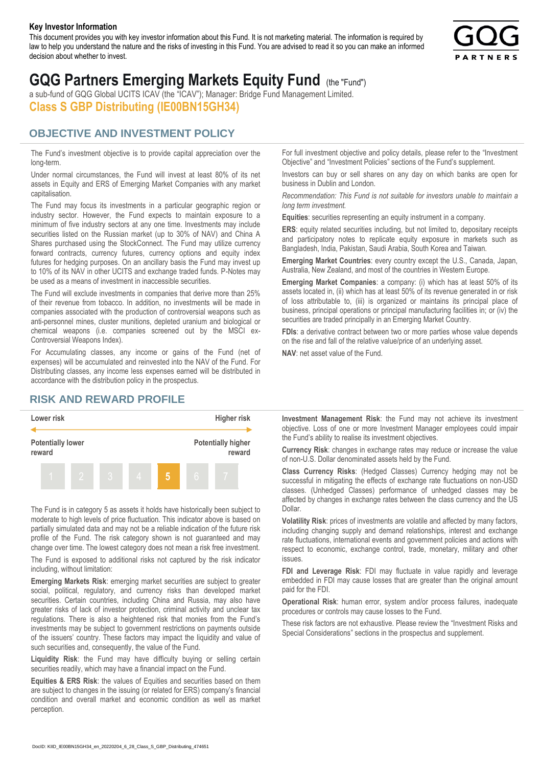#### **Key Investor Information**

This document provides you with key investor information about this Fund. It is not marketing material. The information is required by law to help you understand the nature and the risks of investing in this Fund. You are advised to read it so you can make an informed decision about whether to invest.



# **GQG Partners Emerging Markets Equity Fund** (the "Fund")

a sub-fund of GQG Global UCITS ICAV (the "ICAV"); Manager: Bridge Fund Management Limited. **Class S GBP Distributing (IE00BN15GH34)**

### **OBJECTIVE AND INVESTMENT POLICY**

The Fund's investment objective is to provide capital appreciation over the long-term.

Under normal circumstances, the Fund will invest at least 80% of its net assets in Equity and ERS of Emerging Market Companies with any market capitalisation.

The Fund may focus its investments in a particular geographic region or industry sector. However, the Fund expects to maintain exposure to a minimum of five industry sectors at any one time. Investments may include securities listed on the Russian market (up to 30% of NAV) and China A Shares purchased using the StockConnect. The Fund may utilize currency forward contracts, currency futures, currency options and equity index futures for hedging purposes. On an ancillary basis the Fund may invest up to 10% of its NAV in other UCITS and exchange traded funds. P-Notes may be used as a means of investment in inaccessible securities.

The Fund will exclude investments in companies that derive more than 25% of their revenue from tobacco. In addition, no investments will be made in companies associated with the production of controversial weapons such as anti-personnel mines, cluster munitions, depleted uranium and biological or chemical weapons (i.e. companies screened out by the MSCI ex-Controversial Weapons Index).

For Accumulating classes, any income or gains of the Fund (net of expenses) will be accumulated and reinvested into the NAV of the Fund. For Distributing classes, any income less expenses earned will be distributed in accordance with the distribution policy in the prospectus.

## **RISK AND REWARD PROFILE**



The Fund is in category 5 as assets it holds have historically been subject to moderate to high levels of price fluctuation. This indicator above is based on partially simulated data and may not be a reliable indication of the future risk profile of the Fund. The risk category shown is not guaranteed and may change over time. The lowest category does not mean a risk free investment.

The Fund is exposed to additional risks not captured by the risk indicator including, without limitation:

**Emerging Markets Risk**: emerging market securities are subject to greater social, political, regulatory, and currency risks than developed market securities. Certain countries, including China and Russia, may also have greater risks of lack of investor protection, criminal activity and unclear tax regulations. There is also a heightened risk that monies from the Fund's investments may be subject to government restrictions on payments outside of the issuers' country. These factors may impact the liquidity and value of such securities and, consequently, the value of the Fund.

**Liquidity Risk**: the Fund may have difficulty buying or selling certain securities readily, which may have a financial impact on the Fund.

**Equities & ERS Risk**: the values of Equities and securities based on them are subject to changes in the issuing (or related for ERS) company's financial condition and overall market and economic condition as well as market perception.

For full investment objective and policy details, please refer to the "Investment Objective" and "Investment Policies" sections of the Fund's supplement.

Investors can buy or sell shares on any day on which banks are open for business in Dublin and London.

*Recommendation: This Fund is not suitable for investors unable to maintain a long term investment.*

**Equities**: securities representing an equity instrument in a company.

**ERS:** equity related securities including, but not limited to, depositary receipts and participatory notes to replicate equity exposure in markets such as Bangladesh, India, Pakistan, Saudi Arabia, South Korea and Taiwan.

**Emerging Market Countries**: every country except the U.S., Canada, Japan, Australia, New Zealand, and most of the countries in Western Europe.

**Emerging Market Companies**: a company: (i) which has at least 50% of its assets located in, (ii) which has at least 50% of its revenue generated in or risk of loss attributable to, (iii) is organized or maintains its principal place of business, principal operations or principal manufacturing facilities in; or (iv) the securities are traded principally in an Emerging Market Country.

**FDIs**: a derivative contract between two or more parties whose value depends on the rise and fall of the relative value/price of an underlying asset.

**NAV**: net asset value of the Fund.

**Investment Management Risk**: the Fund may not achieve its investment objective. Loss of one or more Investment Manager employees could impair the Fund's ability to realise its investment objectives.

**Currency Risk**: changes in exchange rates may reduce or increase the value of non-U.S. Dollar denominated assets held by the Fund.

**Class Currency Risks**: (Hedged Classes) Currency hedging may not be successful in mitigating the effects of exchange rate fluctuations on non-USD classes. (Unhedged Classes) performance of unhedged classes may be affected by changes in exchange rates between the class currency and the US Dollar.

**Volatility Risk**: prices of investments are volatile and affected by many factors, including changing supply and demand relationships, interest and exchange rate fluctuations, international events and government policies and actions with respect to economic, exchange control, trade, monetary, military and other issues.

**FDI and Leverage Risk**: FDI may fluctuate in value rapidly and leverage embedded in FDI may cause losses that are greater than the original amount paid for the FDI.

**Operational Risk**: human error, system and/or process failures, inadequate procedures or controls may cause losses to the Fund.

These risk factors are not exhaustive. Please review the "Investment Risks and Special Considerations" sections in the prospectus and supplement.